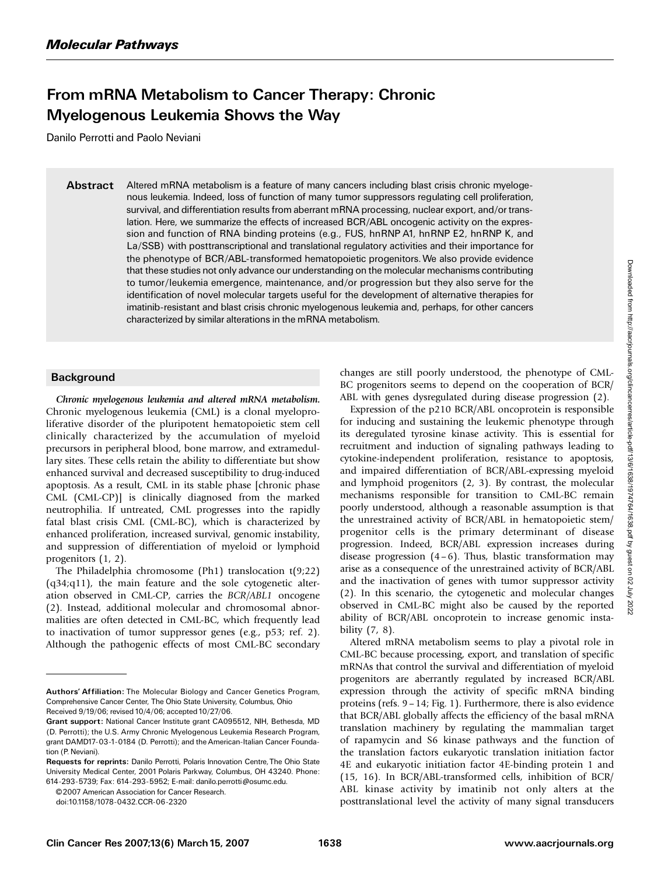## From mRNA Metabolism to Cancer Therapy: Chronic Myelogenous Leukemia Shows the Way

Danilo Perrotti and Paolo Neviani

Abstract Altered mRNA metabolism is a feature of many cancers including blast crisis chronic myelogenous leukemia. Indeed, loss of function of many tumor suppressors regulating cell proliferation, survival, and differentiation results from aberrant mRNA processing, nuclear export, and/or translation. Here, we summarize the effects of increased BCR/ABL oncogenic activity on the expression and function of RNA binding proteins (e.g., FUS, hnRNP A1, hnRNP E2, hnRNP K, and La/SSB) with posttranscriptional and translational regulatory activities and their importance for the phenotype of BCR/ABL-transformed hematopoietic progenitors.We also provide evidence that these studies not only advance our understanding on the molecular mechanisms contributing to tumor/leukemia emergence, maintenance, and/or progression but they also serve for the identification of novel molecular targets useful for the development of alternative therapies for imatinib-resistant and blast crisis chronic myelogenous leukemia and, perhaps, for other cancers characterized by similar alterations in the mRNA metabolism.

## **Background**

Chronic myelogenous leukemia and altered mRNA metabolism. Chronic myelogenous leukemia (CML) is a clonal myeloproliferative disorder of the pluripotent hematopoietic stem cell clinically characterized by the accumulation of myeloid precursors in peripheral blood, bone marrow, and extramedullary sites. These cells retain the ability to differentiate but show enhanced survival and decreased susceptibility to drug-induced apoptosis.As a result, CML in its stable phase [chronic phase CML (CML-CP)] is clinically diagnosed from the marked neutrophilia.If untreated, CML progresses into the rapidly fatal blast crisis CML (CML-BC), which is characterized by enhanced proliferation, increased survival, genomic instability, and suppression of differentiation of myeloid or lymphoid progenitors (1, 2).

The Philadelphia chromosome (Ph1) translocation t(9;22) (q34;q11), the main feature and the sole cytogenetic alteration observed in CML-CP, carries the BCR/ABL1 oncogene (2).Instead, additional molecular and chromosomal abnormalities are often detected in CML-BC, which frequently lead to inactivation of tumor suppressor genes (e.g., p53; ref. 2). Although the pathogenic effects of most CML-BC secondary

©2007 American Association for Cancer Research

changes are still poorly understood, the phenotype of CML-BC progenitors seems to depend on the cooperation of BCR/ ABL with genes dysregulated during disease progression (2).

Expression of the p210 BCR/ABL oncoprotein is responsible for inducing and sustaining the leukemic phenotype through its deregulated tyrosine kinase activity.This is essential for recruitment and induction of signaling pathways leading to cytokine-independent proliferation, resistance to apoptosis, and impaired differentiation of BCR/ABL-expressing myeloid and lymphoid progenitors  $(2, 3)$ . By contrast, the molecular mechanisms responsible for transition to CML-BC remain poorly understood, although a reasonable assumption is that the unrestrained activity of BCR/ABL in hematopoietic stem/ progenitor cells is the primary determinant of disease progression. Indeed, BCR/ABL expression increases during disease progression  $(4-6)$ . Thus, blastic transformation may arise as a consequence of the unrestrained activity of BCR/ABL and the inactivation of genes with tumor suppressor activity (2).In this scenario, the cytogenetic and molecular changes observed in CML-BC might also be caused by the reported ability of BCR/ABL oncoprotein to increase genomic instability (7, 8).

Altered mRNA metabolism seems to play a pivotal role in CML-BC because processing, export, and translation of specific mRNAs that control the survival and differentiation of myeloid progenitors are aberrantly regulated by increased BCR/ABL expression through the activity of specific mRNA binding proteins (refs.  $9 - 14$ ; Fig. 1). Furthermore, there is also evidence that BCR/ABL globally affects the efficiency of the basal mRNA translation machinery by regulating the mammalian target of rapamycin and S6 kinase pathways and the function of the translation factors eukaryotic translation initiation factor 4E and eukaryotic initiation factor 4E-binding protein 1 and (15, 16).In BCR/ABL-transformed cells, inhibition of BCR/ ABL kinase activity by imatinib not only alters at the posttranslational level the activity of many signal transducers

Authors' Affiliation: The Molecular Biology and Cancer Genetics Program, Comprehensive Cancer Center, The Ohio State University, Columbus, Ohio Received 9/19/06; revised 10/4/06; accepted 10/27/06.

Grant support: National Cancer Institute grant CA095512, NIH, Bethesda, MD (D. Perrotti); the U.S. Army Chronic Myelogenous Leukemia Research Program, grant DAMD17-03-1-0184 (D. Perrotti); and the American-Italian Cancer Foundation (P. Neviani).

Requests for reprints: Danilo Perrotti, Polaris Innovation Centre, The Ohio State University Medical Center, 2001 Polaris Parkway, Columbus, OH 43240. Phone: 614-293-5739; Fax: 614-293-5952; E-mail: danilo.perrotti@osumc.edu.

doi:10.1158/1078-0432.CCR-06-2320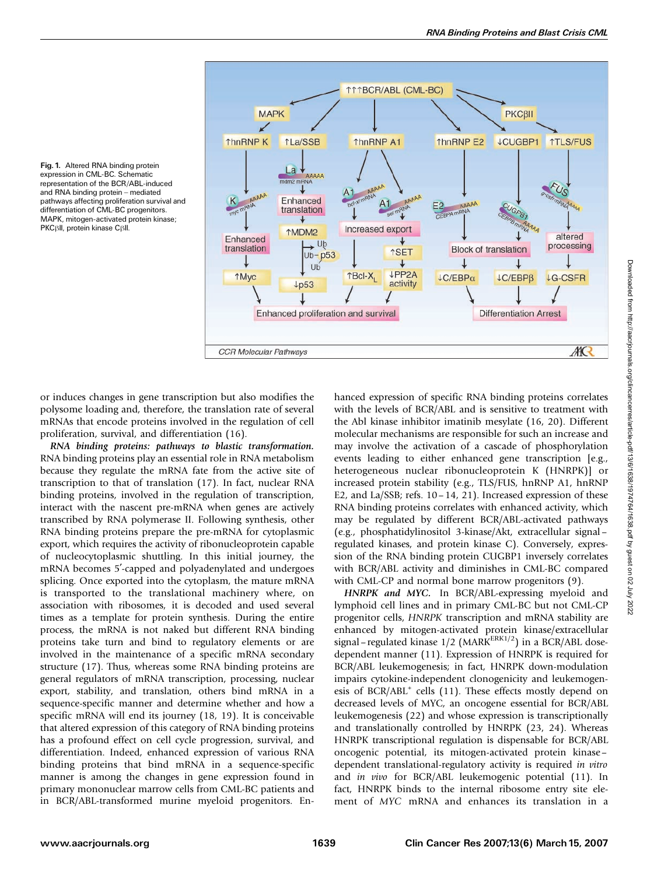

Fig. 1. Altered RNA binding protein expression in CML-BC. Schematic representation of the BCR/ABL-induced and RNA binding protein - mediated pathways affecting proliferation survival and differentiation of CML-BC progenitors. MAPK, mitogen-activated protein kinase; PKC<sub>BII</sub>, protein kinase CBII.

or induces changes in gene transcription but also modifies the polysome loading and, therefore, the translation rate of several mRNAs that encode proteins involved in the regulation of cell proliferation, survival, and differentiation (16).

RNA binding proteins: pathways to blastic transformation. RNA binding proteins play an essential role in RNA metabolism because they regulate the mRNA fate from the active site of transcription to that of translation (17). In fact, nuclear RNA binding proteins, involved in the regulation of transcription, interact with the nascent pre-mRNA when genes are actively transcribed by RNA polymerase II. Following synthesis, other RNA binding proteins prepare the pre-mRNA for cytoplasmic export, which requires the activity of ribonucleoprotein capable of nucleocytoplasmic shuttling.In this initial journey, the mRNA becomes 5'-capped and polyadenylated and undergoes splicing. Once exported into the cytoplasm, the mature mRNA is transported to the translational machinery where, on association with ribosomes, it is decoded and used several times as a template for protein synthesis. During the entire process, the mRNA is not naked but different RNA binding proteins take turn and bind to regulatory elements or are involved in the maintenance of a specific mRNA secondary structure (17). Thus, whereas some RNA binding proteins are general regulators of mRNA transcription, processing, nuclear export, stability, and translation, others bind mRNA in a sequence-specific manner and determine whether and how a specific mRNA will end its journey (18, 19). It is conceivable that altered expression of this category of RNA binding proteins has a profound effect on cell cycle progression, survival, and differentiation. Indeed, enhanced expression of various RNA binding proteins that bind mRNA in a sequence-specific manner is among the changes in gene expression found in primary mononuclear marrow cells from CML-BC patients and in BCR/ABL-transformed murine myeloid progenitors. Enhanced expression of specific RNA binding proteins correlates with the levels of BCR/ABL and is sensitive to treatment with the Abl kinase inhibitor imatinib mesylate (16, 20). Different molecular mechanisms are responsible for such an increase and may involve the activation of a cascade of phosphorylation events leading to either enhanced gene transcription [e.g., heterogeneous nuclear ribonucleoprotein K (HNRPK)] or increased protein stability (e.g., TLS/FUS, hnRNP A1, hnRNP E2, and La/SSB; refs.  $10-14$ , 21). Increased expression of these RNA binding proteins correlates with enhanced activity, which may be regulated by different BCR/ABL-activated pathways (e.g., phosphatidylinositol 3-kinase/Akt, extracellular signal – regulated kinases, and protein kinase C). Conversely, expression of the RNA binding protein CUGBP1 inversely correlates with BCR/ABL activity and diminishes in CML-BC compared with CML-CP and normal bone marrow progenitors (9).

HNRPK and MYC. In BCR/ABL-expressing myeloid and lymphoid cell lines and in primary CML-BC but not CML-CP progenitor cells, HNRPK transcription and mRNA stability are enhanced by mitogen-activated protein kinase/extracellular signal – regulated kinase  $1/2$  (MARK<sup>ERK1/2</sup>) in a BCR/ABL dosedependent manner (11). Expression of HNRPK is required for BCR/ABL leukemogenesis; in fact, HNRPK down-modulation impairs cytokine-independent clonogenicity and leukemogenesis of BCR/ABL<sup>+</sup> cells (11). These effects mostly depend on decreased levels of MYC, an oncogene essential for BCR/ABL leukemogenesis (22) and whose expression is transcriptionally and translationally controlled by HNRPK (23, 24). Whereas HNRPK transcriptional regulation is dispensable for BCR/ABL oncogenic potential, its mitogen-activated protein kinase – dependent translational-regulatory activity is required in vitro and in vivo for BCR/ABL leukemogenic potential (11). In fact, HNRPK binds to the internal ribosome entry site element of MYC mRNA and enhances its translation in a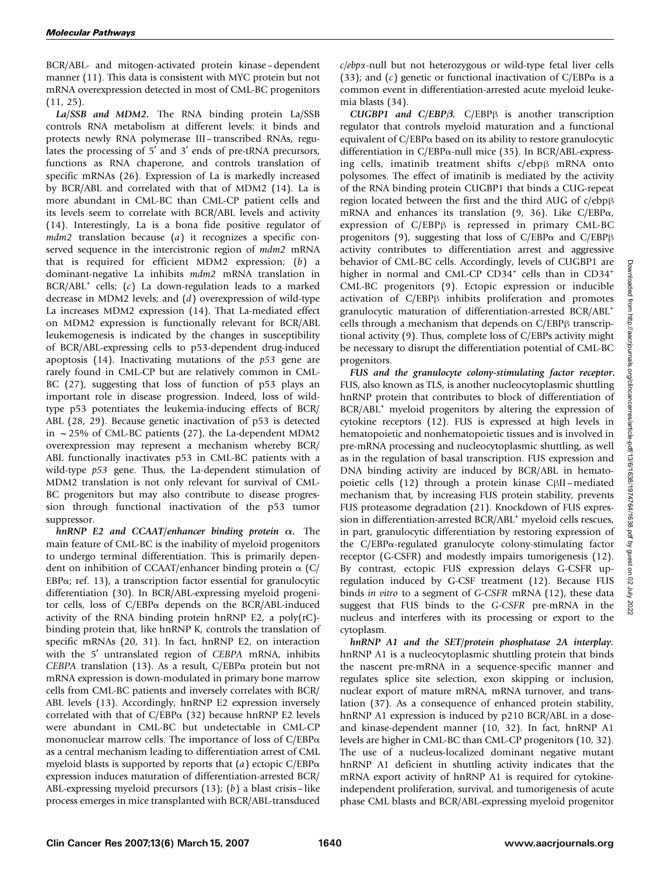BCR/ABL- and mitogen-activated protein kinase –dependent manner (11). This data is consistent with MYC protein but not mRNA overexpression detected in most of CML-BC progenitors (11, 25).

La/SSB and MDM2. The RNA binding protein La/SSB controls RNA metabolism at different levels: it binds and protects newly RNA polymerase III– transcribed RNAs, regulates the processing of  $5'$  and  $3'$  ends of pre-tRNA precursors, functions as RNA chaperone, and controls translation of specific mRNAs (26). Expression of La is markedly increased by BCR/ABL and correlated with that of MDM2 (14). La is more abundant in CML-BC than CML-CP patient cells and its levels seem to correlate with BCR/ABL levels and activity (14).Interestingly, La is a bona fide positive regulator of  $mdm2$  translation because (a) it recognizes a specific conserved sequence in the intercistronic region of  $mdm2$  mRNA that is required for efficient MDM2 expression; (b) a dominant-negative La inhibits mdm2 mRNA translation in  $BCR/ABL<sup>+</sup>$  cells; (c) La down-regulation leads to a marked decrease in MDM2 levels; and (d) overexpression of wild-type La increases MDM2 expression (14). That La-mediated effect on MDM2 expression is functionally relevant for BCR/ABL leukemogenesis is indicated by the changes in susceptibility of BCR/ABL-expressing cells to p53-dependent drug-induced apoptosis  $(14)$ . Inactivating mutations of the  $p53$  gene are rarely found in CML-CP but are relatively common in CML-BC (27), suggesting that loss of function of p53 plays an important role in disease progression. Indeed, loss of wildtype p53 potentiates the leukemia-inducing effects of BCR/ ABL (28, 29). Because genetic inactivation of p53 is detected in  $\sim$  25% of CML-BC patients (27), the La-dependent MDM2 overexpression may represent a mechanism whereby BCR/ ABL functionally inactivates p53 in CML-BC patients with a wild-type  $p53$  gene. Thus, the La-dependent stimulation of MDM2 translation is not only relevant for survival of CML-BC progenitors but may also contribute to disease progression through functional inactivation of the p53 tumor suppressor.

hnRNP E2 and CCAAT/enhancer binding protein  $\alpha$ . The main feature of CML-BC is the inability of myeloid progenitors to undergo terminal differentiation.This is primarily dependent on inhibition of CCAAT/enhancer binding protein  $\alpha$  (C/ EBP $\alpha$ ; ref. 13), a transcription factor essential for granulocytic differentiation (30). In BCR/ABL-expressing myeloid progenitor cells, loss of C/EBPa depends on the BCR/ABL-induced activity of the RNA binding protein hnRNP E2, a poly $(rC)$ binding protein that, like hnRNP K, controls the translation of specific mRNAs (20, 31). In fact, hnRNP E2, on interaction with the 5' untranslated region of CEBPA mRNA, inhibits CEBPA translation (13). As a result,  $C/EBP\alpha$  protein but not mRNA expression is down-modulated in primary bone marrow cells from CML-BC patients and inversely correlates with BCR/ ABL levels (13). Accordingly, hnRNP E2 expression inversely correlated with that of  $C/EBP\alpha$  (32) because hnRNP E2 levels were abundant in CML-BC but undetectable in CML-CP mononuclear marrow cells. The importance of loss of  $C/EBP\alpha$ as a central mechanism leading to differentiation arrest of CML myeloid blasts is supported by reports that  $(a)$  ectopic C/EBP $\alpha$ expression induces maturation of differentiation-arrested BCR/ ABL-expressing myeloid precursors  $(13)$ ;  $(b)$  a blast crisis – like process emerges in mice transplanted with BCR/ABL-transduced

c/ebpa-null but not heterozygous or wild-type fetal liver cells (33); and (c) genetic or functional inactivation of  $C/EBP\alpha$  is a common event in differentiation-arrested acute myeloid leukemia blasts (34).

CUGBP1 and C/EBP $\beta$ . C/EBP $\beta$  is another transcription regulator that controls myeloid maturation and a functional equivalent of C/EBPa based on its ability to restore granulocytic differentiation in C/EBP $\alpha$ -null mice (35). In BCR/ABL-expressing cells, imatinib treatment shifts  $c/ebp\beta$  mRNA onto polysomes.The effect of imatinib is mediated by the activity of the RNA binding protein CUGBP1 that binds a CUG-repeat region located between the first and the third AUG of  $c/ebp\beta$ mRNA and enhances its translation (9, 36). Like C/EBP $\alpha$ , expression of  $C/EBP\beta$  is repressed in primary CML-BC progenitors (9), suggesting that loss of  $C/EBP\alpha$  and  $C/EBP\beta$ activity contributes to differentiation arrest and aggressive behavior of CML-BC cells. Accordingly, levels of CUGBP1 are higher in normal and CML-CP CD34<sup>+</sup> cells than in CD34<sup>+</sup> CML-BC progenitors (9). Ectopic expression or inducible activation of C/EBPß inhibits proliferation and promotes granulocytic maturation of differentiation-arrested BCR/ABL<sup>+</sup> cells through a mechanism that depends on  $C/EBP\beta$  transcriptional activity (9).Thus, complete loss of C/EBPs activity might be necessary to disrupt the differentiation potential of CML-BC progenitors.

FUS and the granulocyte colony-stimulating factor receptor. FUS, also known as TLS, is another nucleocytoplasmic shuttling hnRNP protein that contributes to block of differentiation of BCR/ABL<sup>+</sup> myeloid progenitors by altering the expression of cytokine receptors (12).FUS is expressed at high levels in hematopoietic and nonhematopoietic tissues and is involved in pre-mRNA processing and nucleocytoplasmic shuttling, as well as in the regulation of basal transcription. FUS expression and DNA binding activity are induced by BCR/ABL in hematopoietic cells (12) through a protein kinase C<sub>BII</sub> – mediated mechanism that, by increasing FUS protein stability, prevents FUS proteasome degradation (21). Knockdown of FUS expression in differentiation-arrested BCR/ABL<sup>+</sup> myeloid cells rescues, in part, granulocytic differentiation by restoring expression of the C/EBPa-regulated granulocyte colony-stimulating factor receptor (G-CSFR) and modestly impairs tumorigenesis (12). By contrast, ectopic FUS expression delays G-CSFR upregulation induced by G-CSF treatment (12). Because FUS binds in vitro to a segment of G-CSFR mRNA (12), these data suggest that FUS binds to the G-CSFR pre-mRNA in the nucleus and interferes with its processing or export to the cytoplasm.

hnRNP A1 and the SET/protein phosphatase 2A interplay. hnRNP A1 is a nucleocytoplasmic shuttling protein that binds the nascent pre-mRNA in a sequence-specific manner and regulates splice site selection, exon skipping or inclusion, nuclear export of mature mRNA, mRNA turnover, and translation (37). As a consequence of enhanced protein stability, hnRNP A1 expression is induced by p210 BCR/ABL in a doseand kinase-dependent manner (10, 32). In fact, hnRNP A1 levels are higher in CML-BC than CML-CP progenitors (10, 32). The use of a nucleus-localized dominant negative mutant hnRNP A1 deficient in shuttling activity indicates that the mRNA export activity of hnRNP A1 is required for cytokineindependent proliferation, survival, and tumorigenesis of acute phase CML blasts and BCR/ABL-expressing myeloid progenitor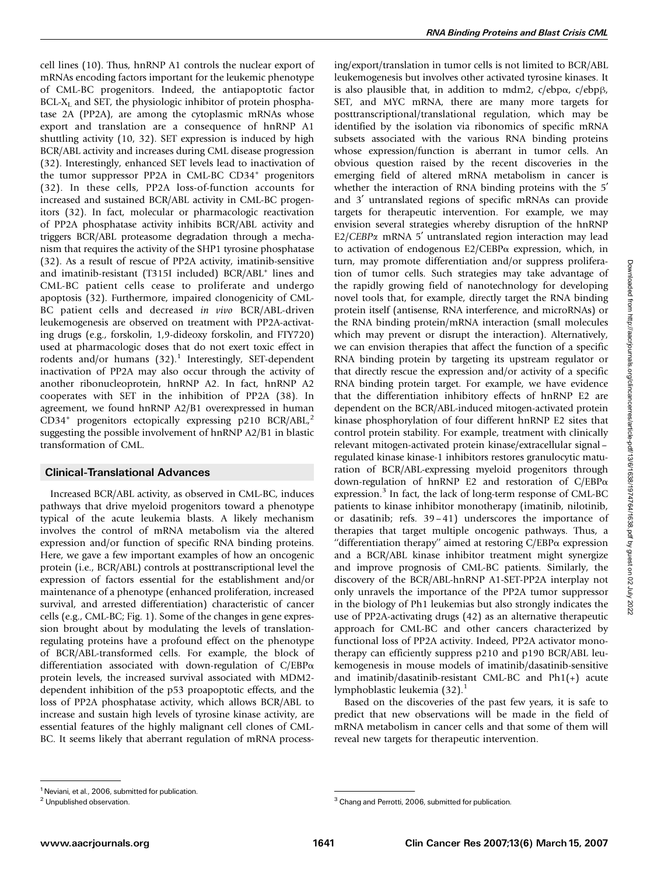cell lines (10).Thus, hnRNP A1 controls the nuclear export of mRNAs encoding factors important for the leukemic phenotype of CML-BC progenitors. Indeed, the antiapoptotic factor  $BCL-X<sub>L</sub>$  and SET, the physiologic inhibitor of protein phosphatase 2A (PP2A), are among the cytoplasmic mRNAs whose export and translation are a consequence of hnRNP A1 shuttling activity (10, 32). SET expression is induced by high BCR/ABL activity and increases during CML disease progression (32).Interestingly, enhanced SET levels lead to inactivation of the tumor suppressor PP2A in CML-BC CD34<sup>+</sup> progenitors (32).In these cells, PP2A loss-of-function accounts for increased and sustained BCR/ABL activity in CML-BC progenitors (32). In fact, molecular or pharmacologic reactivation of PP2A phosphatase activity inhibits BCR/ABL activity and triggers BCR/ABL proteasome degradation through a mechanism that requires the activity of the SHP1 tyrosine phosphatase (32).As a result of rescue of PP2A activity, imatinib-sensitive and imatinib-resistant (T315I included) BCR/ABL<sup>+</sup> lines and CML-BC patient cells cease to proliferate and undergo apoptosis (32). Furthermore, impaired clonogenicity of CML-BC patient cells and decreased in vivo BCR/ABL-driven leukemogenesis are observed on treatment with PP2A-activating drugs (e.g., forskolin, 1,9-dideoxy forskolin, and FTY720) used at pharmacologic doses that do not exert toxic effect in rodents and/or humans  $(32)$ .<sup>1</sup> Interestingly, SET-dependent inactivation of PP2A may also occur through the activity of another ribonucleoprotein, hnRNP A2.In fact, hnRNP A2 cooperates with SET in the inhibition of PP2A (38).In agreement, we found hnRNP A2/B1 overexpressed in human  $CD34<sup>+</sup>$  progenitors ectopically expressing p210 BCR/ABL,<sup>2</sup> suggesting the possible involvement of hnRNP A2/B1 in blastic transformation of CML.

## Clinical-Translational Advances

Increased BCR/ABL activity, as observed in CML-BC, induces pathways that drive myeloid progenitors toward a phenotype typical of the acute leukemia blasts. A likely mechanism involves the control of mRNA metabolism via the altered expression and/or function of specific RNA binding proteins. Here, we gave a few important examples of how an oncogenic protein (i.e., BCR/ABL) controls at posttranscriptional level the expression of factors essential for the establishment and/or maintenance of a phenotype (enhanced proliferation, increased survival, and arrested differentiation) characteristic of cancer cells (e.g., CML-BC; Fig. 1). Some of the changes in gene expression brought about by modulating the levels of translationregulating proteins have a profound effect on the phenotype of BCR/ABL-transformed cells. For example, the block of differentiation associated with down-regulation of C/EBPa protein levels, the increased survival associated with MDM2 dependent inhibition of the p53 proapoptotic effects, and the loss of PP2A phosphatase activity, which allows BCR/ABL to increase and sustain high levels of tyrosine kinase activity, are essential features of the highly malignant cell clones of CML-BC. It seems likely that aberrant regulation of mRNA processing/export/translation in tumor cells is not limited to BCR/ABL leukemogenesis but involves other activated tyrosine kinases. It is also plausible that, in addition to mdm2,  $c/ebp\alpha$ ,  $c/ebp\beta$ , SET, and MYC mRNA, there are many more targets for posttranscriptional/translational regulation, which may be identified by the isolation via ribonomics of specific mRNA subsets associated with the various RNA binding proteins whose expression/function is aberrant in tumor cells. An obvious question raised by the recent discoveries in the emerging field of altered mRNA metabolism in cancer is whether the interaction of RNA binding proteins with the 5<sup>'</sup> and 3' untranslated regions of specific mRNAs can provide targets for therapeutic intervention. For example, we may envision several strategies whereby disruption of the hnRNP  $E2/CEBP\alpha$  mRNA 5' untranslated region interaction may lead to activation of endogenous  $E2/CEBP\alpha$  expression, which, in turn, may promote differentiation and/or suppress proliferation of tumor cells. Such strategies may take advantage of the rapidly growing field of nanotechnology for developing novel tools that, for example, directly target the RNA binding protein itself (antisense, RNA interference, and microRNAs) or the RNA binding protein/mRNA interaction (small molecules which may prevent or disrupt the interaction). Alternatively, we can envision therapies that affect the function of a specific RNA binding protein by targeting its upstream regulator or that directly rescue the expression and/or activity of a specific RNA binding protein target. For example, we have evidence that the differentiation inhibitory effects of hnRNP E2 are dependent on the BCR/ABL-induced mitogen-activated protein kinase phosphorylation of four different hnRNP E2 sites that control protein stability. For example, treatment with clinically relevant mitogen-activated protein kinase/extracellular signal – regulated kinase kinase-1 inhibitors restores granulocytic maturation of BCR/ABL-expressing myeloid progenitors through down-regulation of hnRNP E2 and restoration of C/EBPa expression.<sup>3</sup> In fact, the lack of long-term response of CML-BC patients to kinase inhibitor monotherapy (imatinib, nilotinib, or dasatinib; refs.39 – 41) underscores the importance of therapies that target multiple oncogenic pathways.Thus, a "differentiation therapy" aimed at restoring  $C/EBP\alpha$  expression and a BCR/ABL kinase inhibitor treatment might synergize and improve prognosis of CML-BC patients. Similarly, the discovery of the BCR/ABL-hnRNP A1-SET-PP2A interplay not only unravels the importance of the PP2A tumor suppressor in the biology of Ph1 leukemias but also strongly indicates the use of PP2A-activating drugs (42) as an alternative therapeutic approach for CML-BC and other cancers characterized by functional loss of PP2A activity. Indeed, PP2A activator monotherapy can efficiently suppress p210 and p190 BCR/ABL leukemogenesis in mouse models of imatinib/dasatinib-sensitive and imatinib/dasatinib-resistant CML-BC and Ph1(+) acute lymphoblastic leukemia  $(32).<sup>1</sup>$ 

Based on the discoveries of the past few years, it is safe to predict that new observations will be made in the field of mRNA metabolism in cancer cells and that some of them will reveal new targets for therapeutic intervention.

<sup>&</sup>lt;sup>1</sup> Neviani, et al., 2006, submitted for publication.

<sup>&</sup>lt;sup>2</sup> Unpublished observation.  $\frac{3}{3}$  Chang and Perrotti, 2006, submitted for publication.